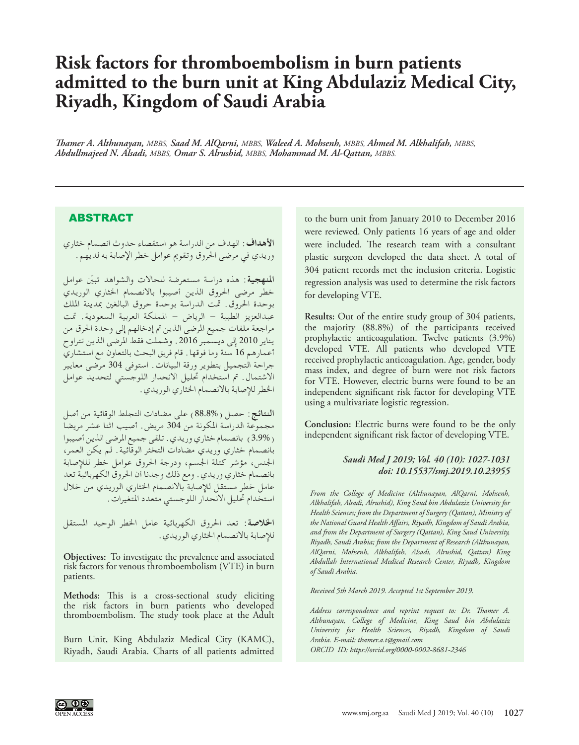# **Risk factors for thromboembolism in burn patients admitted to the burn unit at King Abdulaziz Medical City, Riyadh, Kingdom of Saudi Arabia**

*Thamer A. Althunayan, MBBS, Saad M. AlQarni, MBBS, Waleed A. Mohsenh, MBBS, Ahmed M. Alkhalifah, MBBS, Abdullmajeed N. Alsadi, MBBS, Omar S. Alrushid, MBBS, Mohammad M. Al-Qattan, MBBS.*

## ABSTRACT

**األهداف**: الهدف من الدراسة هو استقصاء حدوث انصمام خثاري وريدي في مرضى احلروق وتقومي عوامل خطر اإلصابة به لديهم.

ا**لمنهجية**: هذه دراسة مستعرضة للحالات والشواهد تبيّن عوامل خطر مرضى احلروق الذين أصيبوا باالنصمام اخلثاري الوريدي بوحدة احلروق. متت الدراسة بوحدة حروق البالغني مبدينة امللك عبدالعزيز الطبية – الرياض – اململكة العربية السعودية. متت مراجعة ملفات جميع املرضى الذين مت إدخالهم إلى وحدة احلرق من يناير 2010 إلى ديسمبر .2016 وشملت فقط املرضى الذين تتراوح أعمارهم 16 سنة وما فوقها. قام فريق البحث بالتعاون مع استشاري جراحة التجميل بتطوير ورقة البيانات. استوفى 304 مرضى معايير االشتمال. مت استخدام حتليل االنحدار اللوجستي لتحديد عوامل اخلطر لإلصابة باالنصمام اخلثاري الوريدي.

**النتائج**: حصل )88.8%( على مضادات التجلط الوقائية من أصل مجموعة الدراسة املكونة من 304 مريض. أصيب اثنا عشر مريضا )3.9%( بانصمام خثاري وريدي. تلقى جميع املرضى الذين أصيبوا بانصمام خثاري وريدي مضادات التخثر الوقائية. لم يكن العمر، اجلنس، مؤشر كتلة اجلسم، ودرجة احلروق عوامل خطر للإلصابة بانصمام خثاري وريدي. ومع ذلك وجدنا أن احلروق الكهربائية تعد عامل خطر مستقل لإلصابة باالنصمام اخلثاري الوريدي من خالل استخدام حتليل االنحدار اللوجستي متعدد املتغيرات.

**اخلالصة**: تعد احلروق الكهربائية عامل اخلطر الوحيد املستقل للإصابة بالانصمام الخثاري الوريدي.

**Objectives:** To investigate the prevalence and associated risk factors for venous thromboembolism (VTE) in burn patients.

**Methods:** This is a cross-sectional study eliciting the risk factors in burn patients who developed thromboembolism. The study took place at the Adult

Burn Unit, King Abdulaziz Medical City (KAMC), Riyadh, Saudi Arabia. Charts of all patients admitted

to the burn unit from January 2010 to December 2016 were reviewed. Only patients 16 years of age and older were included. The research team with a consultant plastic surgeon developed the data sheet. A total of 304 patient records met the inclusion criteria. Logistic regression analysis was used to determine the risk factors for developing VTE.

**Results:** Out of the entire study group of 304 patients, the majority (88.8%) of the participants received prophylactic anticoagulation. Twelve patients (3.9%) developed VTE. All patients who developed VTE received prophylactic anticoagulation. Age, gender, body mass index, and degree of burn were not risk factors for VTE. However, electric burns were found to be an independent significant risk factor for developing VTE using a multivariate logistic regression.

**Conclusion:** Electric burns were found to be the only independent significant risk factor of developing VTE.

#### *Saudi Med J 2019; Vol. 40 (10): 1027-1031 doi: 10.15537/smj.2019.10.23955*

*From the College of Medicine (Althunayan, AlQarni, Mohsenh, Alkhalifah, Alsadi, Alrushid), King Saud bin Abdulaziz University for Health Sciences; from the Department of Surgery (Qattan), Ministry of the National Guard Health Affairs, Riyadh, Kingdom of Saudi Arabia, and from the Department of Surgery (Qattan), King Saud University, Riyadh, Saudi Arabia; from the Department of Research (Althunayan, AlQarni, Mohsenh, Alkhalifah, Alsadi, Alrushid, Qattan) King Abdullah International Medical Research Center, Riyadh, Kingdom of Saudi Arabia.*

*Received 5th March 2019. Accepted 1st September 2019.*

*Address correspondence and reprint request to: Dr. Thamer A. Althunayan, College of Medicine, King Saud bin Abdulaziz University for Health Sciences, Riyadh, Kingdom of Saudi Arabia. E-mail: thamer.a.t@gmail.com ORCID ID: https://orcid.org/0000-0002-8681-2346*

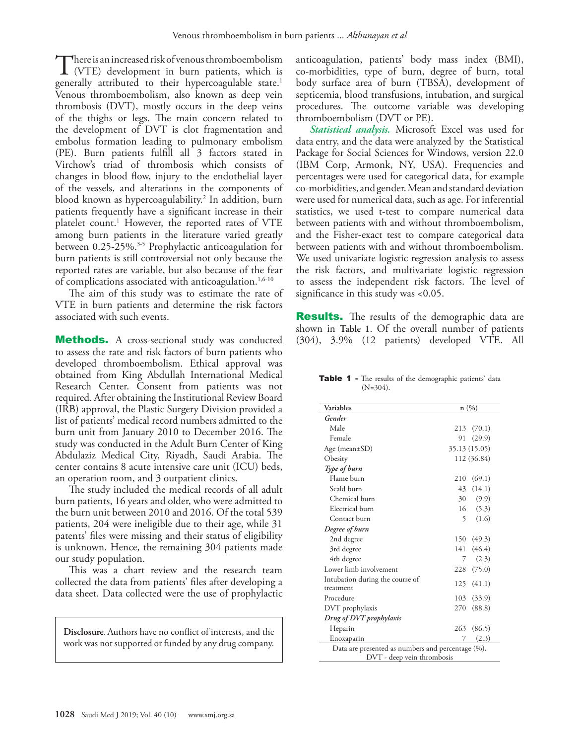There is an increased risk of venous thromboembolism<br>(VTE) development in burn patients, which is<br>conceally attributed to their hypercoexulable state  $\frac{1}{2}$ generally attributed to their hypercoagulable state.<sup>1</sup> Venous thromboembolism, also known as deep vein thrombosis (DVT), mostly occurs in the deep veins of the thighs or legs. The main concern related to the development of DVT is clot fragmentation and embolus formation leading to pulmonary embolism (PE). Burn patients fulfill all 3 factors stated in Virchow's triad of thrombosis which consists of changes in blood flow, injury to the endothelial layer of the vessels, and alterations in the components of blood known as hypercoagulability.[2](#page-3-1) In addition, burn patients frequently have a significant increase in their platelet count.[1](#page-3-0) However, the reported rates of VTE among burn patients in the literature varied greatly between 0.25-25%.<sup>[3](#page-3-2)[-5](#page-3-3)</sup> Prophylactic anticoagulation for burn patients is still controversial not only because the reported rates are variable, but also because of the fear of complications associated with anticoagulation.<sup>[1](#page-3-0),[6-](#page-3-4)[10](#page-3-5)</sup>

The aim of this study was to estimate the rate of VTE in burn patients and determine the risk factors associated with such events.

**Methods.** A cross-sectional study was conducted to assess the rate and risk factors of burn patients who developed thromboembolism. Ethical approval was obtained from King Abdullah International Medical Research Center. Consent from patients was not required. After obtaining the Institutional Review Board (IRB) approval, the Plastic Surgery Division provided a list of patients' medical record numbers admitted to the burn unit from January 2010 to December 2016. The study was conducted in the Adult Burn Center of King Abdulaziz Medical City, Riyadh, Saudi Arabia. The center contains 8 acute intensive care unit (ICU) beds, an operation room, and 3 outpatient clinics.

The study included the medical records of all adult burn patients, 16 years and older, who were admitted to the burn unit between 2010 and 2016. Of the total 539 patients, 204 were ineligible due to their age, while 31 patents' files were missing and their status of eligibility is unknown. Hence, the remaining 304 patients made our study population.

This was a chart review and the research team collected the data from patients' files after developing a data sheet. Data collected were the use of prophylactic

**Disclosure**. Authors have no conflict of interests, and the work was not supported or funded by any drug company.

anticoagulation, patients' body mass index (BMI), co-morbidities, type of burn, degree of burn, total body surface area of burn (TBSA), development of septicemia, blood transfusions, intubation, and surgical procedures. The outcome variable was developing thromboembolism (DVT or PE).

*Statistical analysis.* Microsoft Excel was used for data entry, and the data were analyzed by the Statistical Package for Social Sciences for Windows, version 22.0 (IBM Corp, Armonk, NY, USA). Frequencies and percentages were used for categorical data, for example co-morbidities, and gender. Mean and standard deviation were used for numerical data, such as age. For inferential statistics, we used t-test to compare numerical data between patients with and without thromboembolism, and the Fisher-exact test to compare categorical data between patients with and without thromboembolism. We used univariate logistic regression analysis to assess the risk factors, and multivariate logistic regression to assess the independent risk factors. The level of significance in this study was <0.05.

**Results.** The results of the demographic data are shown in **Table 1**. Of the overall number of patients (304), 3.9% (12 patients) developed VTE. All

Table 1 - The results of the demographic patients' data  $(N=304)$ .

| Variables                                                                       |             | n(%)          |  |
|---------------------------------------------------------------------------------|-------------|---------------|--|
| Gender                                                                          |             |               |  |
| Male                                                                            | 213         | (70.1)        |  |
| Female                                                                          | 91          | (29.9)        |  |
| Age (mean $\pm$ SD)                                                             |             | 35.13 (15.05) |  |
| Obesity                                                                         |             | 112 (36.84)   |  |
| Type of burn                                                                    |             |               |  |
| Flame burn                                                                      | 210         | (69.1)        |  |
| Scald burn                                                                      | 43          | (14.1)        |  |
| Chemical burn                                                                   | 30          | (9.9)         |  |
| Electrical burn                                                                 |             | 16(5.3)       |  |
| Contact burn                                                                    | 5           | (1.6)         |  |
| Degree of burn                                                                  |             |               |  |
| 2nd degree                                                                      |             | 150 (49.3)    |  |
| 3rd degree                                                                      |             | 141 (46.4)    |  |
| 4th degree                                                                      | $7^{\circ}$ | (2.3)         |  |
| Lower limb involvement                                                          |             | 228 (75.0)    |  |
| Intubation during the course of<br>treatment                                    |             | 125(41.1)     |  |
| Procedure                                                                       | 103         | (33.9)        |  |
| DVT prophylaxis                                                                 | 270         | (88.8)        |  |
| Drug of DVT prophylaxis                                                         |             |               |  |
| Heparin                                                                         | 263         | (86.5)        |  |
| Enoxaparin                                                                      | 7           | (2.3)         |  |
| Data are presented as numbers and percentage (%).<br>DVT - deep vein thrombosis |             |               |  |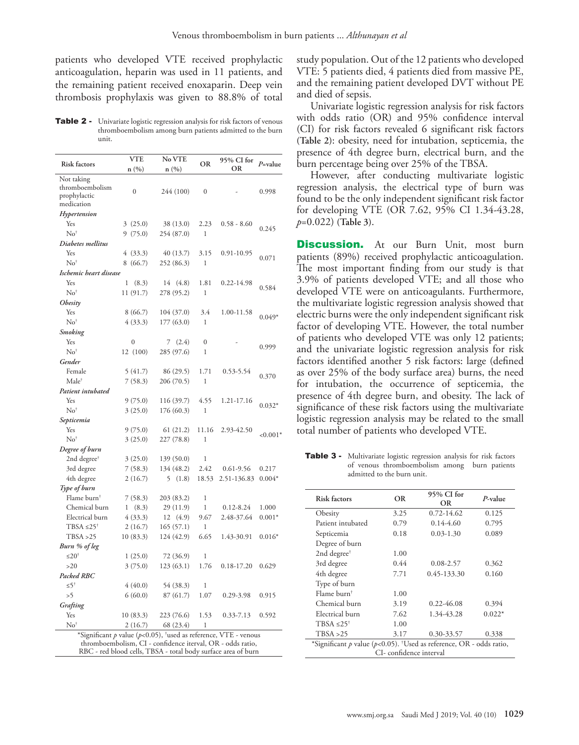patients who developed VTE received prophylactic anticoagulation, heparin was used in 11 patients, and the remaining patient received enoxaparin. Deep vein thrombosis prophylaxis was given to 88.8% of total

Table 2 - Univariate logistic regression analysis for risk factors of venous thromboembolism among burn patients admitted to the burn unit.

| <b>Risk factors</b>                                                             | <b>VTE</b>       | No VTE<br>n(%) | <b>OR</b>        | 95% CI for<br><b>OR</b>      | $P$ =value |  |  |
|---------------------------------------------------------------------------------|------------------|----------------|------------------|------------------------------|------------|--|--|
| Not taking                                                                      | n (%)            |                |                  |                              |            |  |  |
| thromboembolism                                                                 |                  |                |                  |                              |            |  |  |
| prophylactic                                                                    | $\mathbf{0}$     | 244 (100)      | $\boldsymbol{0}$ |                              | 0.998      |  |  |
| medication                                                                      |                  |                |                  |                              |            |  |  |
| Hypertension                                                                    |                  |                |                  |                              |            |  |  |
| Yes                                                                             | 3(25.0)          | 38 (13.0)      | 2.23             | $0.58 - 8.60$                | 0.245      |  |  |
| No <sup>†</sup>                                                                 | 9(75.0)          | 254 (87.0)     | $\mathbf{1}$     |                              |            |  |  |
| Diabetes mellitus                                                               |                  |                |                  |                              |            |  |  |
| Yes                                                                             | 4 (33.3)         | 40 (13.7)      | 3.15             | 0.91-10.95                   | 0.071      |  |  |
| No <sup>†</sup>                                                                 | 8(66.7)          | 252 (86.3)     | 1                |                              |            |  |  |
| Ischemic heart disease                                                          |                  |                |                  |                              |            |  |  |
| Yes                                                                             | (8.3)<br>1       | 14<br>(4.8)    | 1.81             | 0.22-14.98                   | 0.584      |  |  |
| $No^{\dagger}$                                                                  | 11 (91.7)        | 278 (95.2)     | 1                |                              |            |  |  |
| Obesity                                                                         |                  |                |                  |                              |            |  |  |
| Yes                                                                             | 8(66.7)          | 104 (37.0)     | 3.4              | 1.00-11.58                   | $0.049*$   |  |  |
| No <sup>†</sup>                                                                 | 4(33.3)          | 177 (63.0)     | 1                |                              |            |  |  |
| Smoking                                                                         |                  |                |                  |                              |            |  |  |
| Yes                                                                             | $\boldsymbol{0}$ | 7(2.4)         | $\mathbf{0}$     |                              | 0.999      |  |  |
| No <sup>†</sup>                                                                 | 12 (100)         | 285 (97.6)     | 1                |                              |            |  |  |
| Gender                                                                          |                  |                |                  |                              |            |  |  |
| Female                                                                          | 5(41.7)          | 86 (29.5)      | 1.71             | 0.53-5.54                    | 0.370      |  |  |
| Male <sup>†</sup>                                                               | 7(58.3)          | 206 (70.5)     | $\mathbf{1}$     |                              |            |  |  |
| Patient intubated                                                               |                  |                |                  |                              |            |  |  |
| Yes                                                                             | 9(75.0)          | 116 (39.7)     | 4.55             | 1.21-17.16                   | $0.032*$   |  |  |
| No <sup>†</sup>                                                                 | 3(25.0)          | 176 (60.3)     | 1                |                              |            |  |  |
| Septicemia                                                                      |                  |                |                  |                              |            |  |  |
| Yes                                                                             | 9(75.0)          | 61(21.2)       | 11.16            | 2.93-42.50                   | $< 0.001*$ |  |  |
| No <sup>†</sup>                                                                 | 3(25.0)          | 227 (78.8)     | 1                |                              |            |  |  |
| Degree of burn                                                                  |                  |                |                  |                              |            |  |  |
| 2nd degree <sup>†</sup>                                                         | 3(25.0)          | 139 (50.0)     | 1                |                              |            |  |  |
| 3rd degree                                                                      | 7(58.3)          | 134 (48.2)     | 2.42             | $0.61 - 9.56$<br>2.51-136.83 | 0.217      |  |  |
| 4th degree                                                                      | 2(16.7)          | 5(1.8)         | 18.53            |                              | $0.004*$   |  |  |
| Type of burn<br>Flame burn <sup>†</sup>                                         | 7(58.3)          | 203 (83.2)     | 1                |                              |            |  |  |
| Chemical burn                                                                   | (8.3)<br>1       | 29 (11.9)      | 1                | $0.12 - 8.24$                | 1.000      |  |  |
| Electrical burn                                                                 | 4(33.3)          | 12(4.9)        | 9.67             | 2.48-37.64                   | $0.001*$   |  |  |
| TBSA $\leq 25^{\dagger}$                                                        | 2(16.7)          | 165 (57.1)     | $\mathbf{1}$     |                              |            |  |  |
| TBSA > 25                                                                       | 10 (83.3)        | 124 (42.9)     | 6.65             | 1.43-30.91                   | $0.016*$   |  |  |
| Burn % of leg                                                                   |                  |                |                  |                              |            |  |  |
| $\leq 20^{\dagger}$                                                             | 1(25.0)          | 72 (36.9)      | 1                |                              |            |  |  |
| >20                                                                             | 3(75.0)          | 123 (63.1)     | 1.76             | $0.18 - 17.20$               | 0.629      |  |  |
| Packed RBC                                                                      |                  |                |                  |                              |            |  |  |
| $\leq 5^{\dagger}$                                                              | 4(40.0)          | 54 (38.3)      | 1                |                              |            |  |  |
| >5                                                                              | 6(60.0)          | 87(61.7)       | 1.07             | 0.29-3.98                    | 0.915      |  |  |
| Grafting                                                                        |                  |                |                  |                              |            |  |  |
| Yes                                                                             | 10(83.3)         | 223 (76.6)     | 1.53             | $0.33 - 7.13$                | 0.592      |  |  |
| $No^{\dagger}$                                                                  | 2(16.7)          | 68 (23.4)      | 1                |                              |            |  |  |
| *Significant p value ( $p$ <0.05), <sup>†</sup> used as reference, VTE - venous |                  |                |                  |                              |            |  |  |
| thromboembolism, CI - confidence iterval, OR - odds ratio,                      |                  |                |                  |                              |            |  |  |
| RBC - red blood cells, TBSA - total body surface area of burn                   |                  |                |                  |                              |            |  |  |

study population. Out of the 12 patients who developed VTE: 5 patients died, 4 patients died from massive PE, and the remaining patient developed DVT without PE and died of sepsis.

Univariate logistic regression analysis for risk factors with odds ratio (OR) and 95% confidence interval (CI) for risk factors revealed 6 significant risk factors **(Table 2)**: obesity, need for intubation, septicemia, the presence of 4th degree burn, electrical burn, and the burn percentage being over 25% of the TBSA.

However, after conducting multivariate logistic regression analysis, the electrical type of burn was found to be the only independent significant risk factor for developing VTE (OR 7.62, 95% CI 1.34-43.28, *p*=0.022) **(Table 3)**.

**Discussion.** At our Burn Unit, most burn patients (89%) received prophylactic anticoagulation. The most important finding from our study is that 3.9% of patients developed VTE; and all those who developed VTE were on anticoagulants. Furthermore, the multivariate logistic regression analysis showed that electric burns were the only independent significant risk factor of developing VTE. However, the total number of patients who developed VTE was only 12 patients; and the univariate logistic regression analysis for risk factors identified another 5 risk factors: large (defined as over 25% of the body surface area) burns, the need for intubation, the occurrence of septicemia, the presence of 4th degree burn, and obesity. The lack of significance of these risk factors using the multivariate logistic regression analysis may be related to the small total number of patients who developed VTE.

Table 3 - Multivariate logistic regression analysis for risk factors of venous thromboembolism among burn patients admitted to the burn unit.

| Risk factors                                                            | <b>OR</b> | 95% CI for<br>OR. | $P-value$ |  |  |
|-------------------------------------------------------------------------|-----------|-------------------|-----------|--|--|
| Obesity                                                                 | 3.25      | $0.72 - 14.62$    | 0.125     |  |  |
| Patient intubated                                                       | 0.79      | $0.14 - 4.60$     | 0.795     |  |  |
| Septicemia                                                              | 0.18      | $0.03 - 1.30$     | 0.089     |  |  |
| Degree of burn                                                          |           |                   |           |  |  |
| 2nd degree <sup>†</sup>                                                 | 1.00      |                   |           |  |  |
| 3rd degree                                                              | 0.44      | $0.08 - 2.57$     | 0.362     |  |  |
| 4th degree                                                              | 7.71      | 0.45-133.30       | 0.160     |  |  |
| Type of burn                                                            |           |                   |           |  |  |
| Flame burn <sup>†</sup>                                                 | 1.00      |                   |           |  |  |
| Chemical burn                                                           | 3.19      | 0.22-46.08        | 0.394     |  |  |
| Electrical burn                                                         | 7.62      | 1.34-43.28        | $0.022*$  |  |  |
| $TBSA \leq 25^{\dagger}$                                                | 1.00      |                   |           |  |  |
| TBSA > 25                                                               | 3.17      | 0.30-33.57        | 0.338     |  |  |
| *Significant p value ( $p<0.05$ ). †Used as reference, OR - odds ratio, |           |                   |           |  |  |
| CI-confidence interval                                                  |           |                   |           |  |  |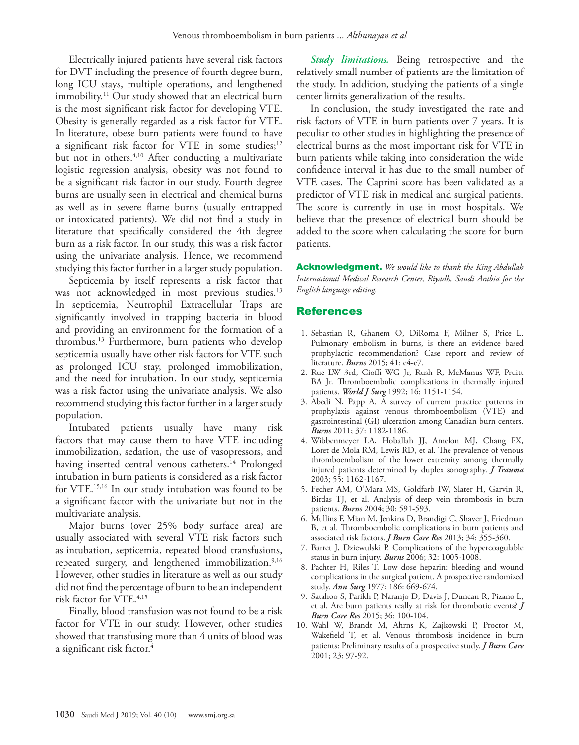Electrically injured patients have several risk factors for DVT including the presence of fourth degree burn, long ICU stays, multiple operations, and lengthened immobility.<sup>11</sup> Our study showed that an electrical burn is the most significant risk factor for developing VTE. Obesity is generally regarded as a risk factor for VTE. In literature, obese burn patients were found to have a significant risk factor for VTE in some studies; $12$ but not in others.<sup>4,10</sup> After conducting a multivariate logistic regression analysis, obesity was not found to be a significant risk factor in our study. Fourth degree burns are usually seen in electrical and chemical burns as well as in severe flame burns (usually entrapped or intoxicated patients). We did not find a study in literature that specifically considered the 4th degree burn as a risk factor. In our study, this was a risk factor using the univariate analysis. Hence, we recommend studying this factor further in a larger study population.

Septicemia by itself represents a risk factor that was not acknowledged in most previous studies.<sup>13</sup> In septicemia, Neutrophil Extracellular Traps are significantly involved in trapping bacteria in blood and providing an environment for the formation of a thrombus.[13](#page-4-2) Furthermore, burn patients who develop septicemia usually have other risk factors for VTE such as prolonged ICU stay, prolonged immobilization, and the need for intubation. In our study, septicemia was a risk factor using the univariate analysis. We also recommend studying this factor further in a larger study population.

Intubated patients usually have many risk factors that may cause them to have VTE including immobilization, sedation, the use of vasopressors, and having inserted central venous catheters.<sup>[14](#page-4-3)</sup> Prolonged intubation in burn patients is considered as a risk factor for VTE[.15,](#page-4-4)[16](#page-4-5) In our study intubation was found to be a significant factor with the univariate but not in the multivariate analysis.

Major burns (over 25% body surface area) are usually associated with several VTE risk factors such as intubation, septicemia, repeated blood transfusions, repeated surgery, and lengthened immobilization.<sup>9,[16](#page-4-5)</sup> However, other studies in literature as well as our study did not find the percentage of burn to be an independent risk factor for VTE.<sup>[4](#page-3-6)[,15](#page-4-4)</sup>

Finally, blood transfusion was not found to be a risk factor for VTE in our study. However, other studies showed that transfusing more than 4 units of blood was a significant risk factor.[4](#page-3-6)

*Study limitations.* Being retrospective and the relatively small number of patients are the limitation of the study. In addition, studying the patients of a single center limits generalization of the results.

In conclusion, the study investigated the rate and risk factors of VTE in burn patients over 7 years. It is peculiar to other studies in highlighting the presence of electrical burns as the most important risk for VTE in burn patients while taking into consideration the wide confidence interval it has due to the small number of VTE cases. The Caprini score has been validated as a predictor of VTE risk in medical and surgical patients. The score is currently in use in most hospitals. We believe that the presence of electrical burn should be added to the score when calculating the score for burn patients.

Acknowledgment. *We would like to thank the King Abdullah International Medical Research Center, Riyadh, Saudi Arabia for the English language editing.* 

## References

- <span id="page-3-0"></span> 1. [Sebastian R, Ghanem O, DiRoma F, Milner S, Price L.](https://www.sciencedirect.com/science/article/abs/pii/S0305417914002277?via%3Dihub)  [Pulmonary embolism in burns, is there an evidence based](https://www.sciencedirect.com/science/article/abs/pii/S0305417914002277?via%3Dihub)  [prophylactic recommendation? Case report and review of](https://www.sciencedirect.com/science/article/abs/pii/S0305417914002277?via%3Dihub)  literature. *Burns* [2015; 41: e4-e7.](https://www.sciencedirect.com/science/article/abs/pii/S0305417914002277?via%3Dihub)
- <span id="page-3-1"></span> 2. [Rue LW 3rd, Cioffi WG Jr, Rush R, McManus WF, Pruitt](https://www.ncbi.nlm.nih.gov/pubmed/1455888)  [BA Jr. Thromboembolic complications in thermally injured](https://www.ncbi.nlm.nih.gov/pubmed/1455888)  patients. *World J Surg* [1992; 16: 1151-1154.](https://www.ncbi.nlm.nih.gov/pubmed/1455888)
- <span id="page-3-2"></span> 3. [Abedi N, Papp A. A survey of current practice patterns in](https://www.sciencedirect.com/science/article/abs/pii/S0305417911001926?via%3Dihub)  [prophylaxis against venous thromboembolism \(VTE\) and](https://www.sciencedirect.com/science/article/abs/pii/S0305417911001926?via%3Dihub)  [gastrointestinal \(GI\) ulceration among Canadian burn centers.](https://www.sciencedirect.com/science/article/abs/pii/S0305417911001926?via%3Dihub)  *Burns* [2011; 37: 1182-1186.](https://www.sciencedirect.com/science/article/abs/pii/S0305417911001926?via%3Dihub)
- <span id="page-3-6"></span> 4. [Wibbenmeyer LA, Hoballah JJ, Amelon MJ, Chang PX,](https://insights.ovid.com/pubmed?pmid=14676666 )  [Loret de Mola RM, Lewis RD, et al. The prevalence of venous](https://insights.ovid.com/pubmed?pmid=14676666 )  [thromboembolism of the lower extremity among thermally](https://insights.ovid.com/pubmed?pmid=14676666 )  [injured patients determined by duplex sonography.](https://insights.ovid.com/pubmed?pmid=14676666 ) *J Trauma*  [2003; 55: 1162-1167.](https://insights.ovid.com/pubmed?pmid=14676666 )
- <span id="page-3-3"></span> 5. [Fecher AM, O'Mara MS, Goldfarb IW, Slater H, Garvin R,](https://www.sciencedirect.com/science/article/abs/pii/S0305417904000439?via%3Dihub)  [Birdas TJ, et al. Analysis of deep vein thrombosis in burn](https://www.sciencedirect.com/science/article/abs/pii/S0305417904000439?via%3Dihub)  patients. *Burns* [2004; 30: 591-593](https://www.sciencedirect.com/science/article/abs/pii/S0305417904000439?via%3Dihub).
- <span id="page-3-4"></span> 6. [Mullins F, Mian M, Jenkins D, Brandigi C, Shaver J, Friedman](https://academic.oup.com/jbcr/article-abstract/34/3/355/4565932?redirectedFrom=fulltext)  [B, et al. Thromboembolic complications in burn patients and](https://academic.oup.com/jbcr/article-abstract/34/3/355/4565932?redirectedFrom=fulltext)  [associated risk factors.](https://academic.oup.com/jbcr/article-abstract/34/3/355/4565932?redirectedFrom=fulltext) *J Burn Care Res* 2013; 34: 355-360.
- 7. [Barret J, Dziewulski P. Complications of the hypercoagulable](https://www.sciencedirect.com/science/article/abs/pii/S0305417906000593 )  status in burn injury. *Burns* [2006; 32: 1005-1008.](https://www.sciencedirect.com/science/article/abs/pii/S0305417906000593 )
- 8. [Pachter H, Riles T. Low dose heparin: bleeding and wound](https://www.ncbi.nlm.nih.gov/pmc/articles/PMC1396507/)  [complications in the surgical patient. A prospective randomized](https://www.ncbi.nlm.nih.gov/pmc/articles/PMC1396507/)  study. *Ann Surg* [1977; 186: 669-674.](https://www.ncbi.nlm.nih.gov/pmc/articles/PMC1396507/)
- <span id="page-3-7"></span> 9. [Satahoo S, Parikh P, Naranjo D, Davis J, Duncan R, Pizano L,](https://www.ncbi.nlm.nih.gov/pubmed/25084492)  [et al. Are burn patients really at risk for thrombotic events?](https://www.ncbi.nlm.nih.gov/pubmed/25084492) *J Burn Care Res* [2015; 36: 100-104.](https://www.ncbi.nlm.nih.gov/pubmed/25084492)
- <span id="page-3-5"></span>10. [Wahl W, Brandt M, Ahrns K, Zajkowski P, Proctor M,](https://www.ncbi.nlm.nih.gov/pubmed/11882798)  [Wakefield T, et al. Venous thrombosis incidence in burn](https://www.ncbi.nlm.nih.gov/pubmed/11882798)  [patients: Preliminary results of a prospective study.](https://www.ncbi.nlm.nih.gov/pubmed/11882798) *J Burn Care*  [2001; 23: 97-92.](https://www.ncbi.nlm.nih.gov/pubmed/11882798)